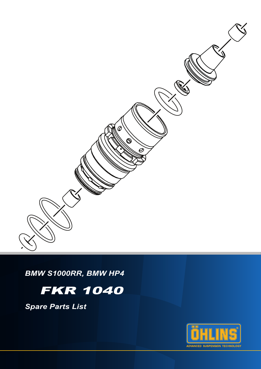

*BMW S1000RR, BMW HP4*

# FKR 1040

*Spare Parts List*

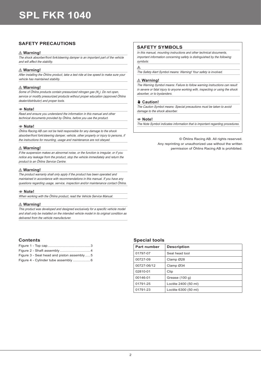## **SAFETY PRECAUTIONS**

## ⚠ **Warning!**

The shock absorber/front fork/steering damper is an important part of the vehicle and will affect the stability.

### ⚠ **Warning!**

After installing the Öhlins product, take a test ride at low speed to make sure your vehicle has maintained stability.

## ⚠ **Warning!**

Some of Öhlins products contain pressurized nitrogen gas (N<sub>2</sub>). Do not open, service or modify pressurized products without proper education (approved Öhlins dealer/distributor) and proper tools.

### 1 **Note!**

Read and ensure you understand the information in this manual and other technical documents provided by Öhlins, before you use the product.

#### 1 **Note!**

Öhlins Racing AB can not be held responsible for any damage to the shock absorber/front fork/steering damper, vehicle, other property or injury to persons, if the instructions for mounting, usage and maintenance are not obeyed.

### ⚠ **Warning!**

If the suspension makes an abnormal noise, or the function is irregular, or if you notice any leakage from the product, stop the vehicle immediately and return the product to an Öhlins Service Centre.

### ⚠ **Warning!**

The product warranty shall only apply if the product has been operated and maintained in accordance with recommendations in this manual. If you have any questions regarding usage, service, inspection and/or maintenance contact Öhlins.

#### 1 **Note!**

When working with the Öhlins product, read the Vehicle Service Manual.

### ⚠ **Warning!**

This product was developed and designed exclusively for a specific vehicle model and shall only be installed on the intended vehicle model in its original condition as delivered from the vehicle manufacturer.

## **Contents**

| Figure 3 - Seal head and piston assembly  5 |  |
|---------------------------------------------|--|
|                                             |  |

## **SAFETY SYMBOLS**

In this manual, mounting instructions and other technical documents, important information concerning safety is distinguished by the following symbols:

#### $\wedge$

The Safety Alert Symbol means: Warning! Your safety is involved.

### ⚠ **Warning!**

The Warning Symbol means: Failure to follow warning instructions can result in severe or fatal injury to anyone working with, inspecting or using the shock absorber, or to bystanders.

#### ✋ **Caution!**

The Caution Symbol means: Special precautions must be taken to avoid damage to the shock absorber.

#### 1 **Note!**

The Note Symbol indicates information that is important regarding procedures.

© Öhlins Racing AB. All rights reserved. Any reprinting or unauthorized use without the written permission of Öhlins Racing AB is prohibited.

## **Special tools**

| <b>Part number</b> | <b>Description</b>   |  |  |  |
|--------------------|----------------------|--|--|--|
| 01797-07           | Seal head tool       |  |  |  |
| 00727-09           | Clamp Ø28            |  |  |  |
| 00727-06/12        | Clamp Ø34            |  |  |  |
| 02810-01           | Clip                 |  |  |  |
| 00146-01           | Grease $(100 q)$     |  |  |  |
| 01791-25           | Loctite 2400 (50 ml) |  |  |  |
| 01791-23           | Loctite 6300 (50 ml) |  |  |  |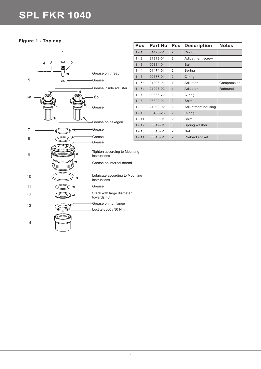**Figure 1 - Top cap**



| Pos      | Part No  | <b>Pcs</b>     | <b>Description</b> | <b>Notes</b> |
|----------|----------|----------------|--------------------|--------------|
| $1 - 1$  | 01473-01 | $\overline{2}$ | Circlip            |              |
| $1 - 2$  | 21819-01 | 2              | Adjustment screw   |              |
| $1 - 3$  | 00884-04 | $\overline{4}$ | <b>Ball</b>        |              |
| $1 - 4$  | 01474-01 | 2              | Spring             |              |
| $1 - 5$  | 00577-01 | $\overline{2}$ | O-ring             |              |
| $1 - 6a$ | 21928-01 | 1              | Adjuster           | Compression  |
| $1 - 6b$ | 21928-02 | $\mathbf{1}$   | Adjuster           | Rebound      |
| $1 - 7$  | 00338-72 | 2              | O-ring             |              |
| $1 - 8$  | 03309-01 | 2              | Shim               |              |
| $1 - 9$  | 21932-02 | 2              | Adjustment housing |              |
| $1 - 10$ | 00438-26 | $\overline{2}$ | O-ring             |              |
| $1 - 11$ | 03309-01 | 2              | Shim               |              |
| $1 - 12$ | 03317-01 | 8              | Spring washer      |              |
| $1 - 13$ | 03313-01 | 2              | <b>Nut</b>         |              |
| $1 - 14$ | 03315-01 | $\overline{2}$ | Preload socket     |              |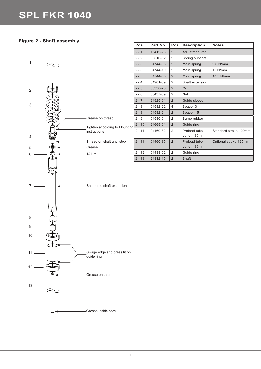**Figure 2 - Shaft assembly**

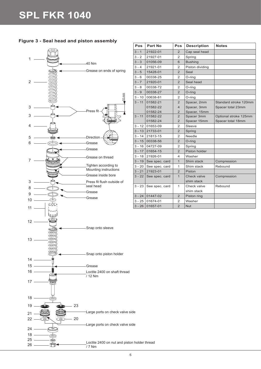

26

 $\bigoplus$ 

| Figure 3 - Seal head and piston assembly |  |  |
|------------------------------------------|--|--|
|------------------------------------------|--|--|

| Pos      | <b>Part No</b> | <b>Pcs</b>     | <b>Description</b> | <b>Notes</b>          |
|----------|----------------|----------------|--------------------|-----------------------|
| $3 - 1$  | 21922-01       | $\overline{2}$ | Cap seal head      |                       |
| $3 - 2$  | 21927-01       | $\overline{2}$ | Spring             |                       |
| $3 - 3$  | 01056-09       | 6              | <b>Bushing</b>     |                       |
| $3 - 4$  | 21921-01       | 2              | Piston dividing    |                       |
| $3 - 5$  | 15428-01       | $\overline{2}$ | Seal               |                       |
| $3 - 6$  | 00338-25       | $\overline{2}$ | O-ring             |                       |
| $3 - 7$  | 21920-01       | $\overline{2}$ | Seal head          |                       |
| $3 - 8$  | 00338-72       | $\overline{2}$ | O-ring             |                       |
| $3 - 9$  | 00338-27       | $\overline{2}$ | O-ring             |                       |
| $3 - 10$ | 00638-81       | $\overline{2}$ | O-ring             |                       |
| $3 - 11$ | 01582-21       | $\overline{2}$ | Spacer, 2mm        | Standard stroke 120mm |
|          | 01582-22       | 4              | Spacer, 3mm        | Spacer total 23mm     |
|          | 01582-24       | $\overline{2}$ | Spacer, 15mm       |                       |
| $3 - 11$ | 01582-22       | $\overline{2}$ | Spacer 3mm         | Optional stroke 125mm |
|          | 01582-24       | $\overline{2}$ | Spacer 15mm        | Spacer total 18mm     |
| $3 - 12$ | 01653-09       | $\overline{2}$ | Sleeve             |                       |
| $3 - 13$ | 21733-01       | $\overline{2}$ | Spring             |                       |
| $3 - 14$ | 21813-15       | $\overline{2}$ | Needle             |                       |
| $3 - 15$ | 00338-56       | $\overline{2}$ | O-ring             |                       |
| $3 - 16$ | 04727-09       | $\overline{2}$ | Spring             |                       |
| $3 - 17$ | 01654-15       | $\overline{2}$ | Piston holder      |                       |
| $3 - 18$ | 21926-01       | 4              | Washer             |                       |
| $3 - 19$ | See spec. card | $\mathbf{1}$   | Shim stack         | Compression           |
| $3 - 20$ | See spec. card | 1              | Shim stack         | Rebound               |
| $3 - 21$ | 21923-01       | $\overline{2}$ | Piston             |                       |
| $3 - 22$ | See spec. card | $\mathbf{1}$   | Check valve        | Compression           |
|          |                |                | shim stack         |                       |
| $3 - 23$ | See spec. card | 1              | Check valve        | Rebound               |
|          |                |                | shim stack         |                       |
| $3 - 24$ | 01447-02       | $\overline{2}$ | Piston ring        |                       |
| $3 - 25$ | 01674-01       | $\overline{2}$ | Washer             |                       |
| $3 - 26$ | 01657-01       | $\overline{2}$ | <b>Nut</b>         |                       |

5

 $7/7$  Nm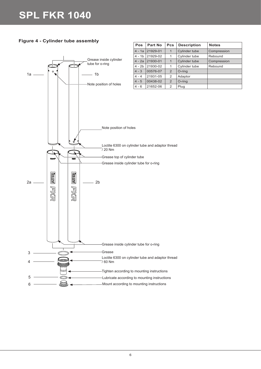**Figure 4 - Cylinder tube assembly**